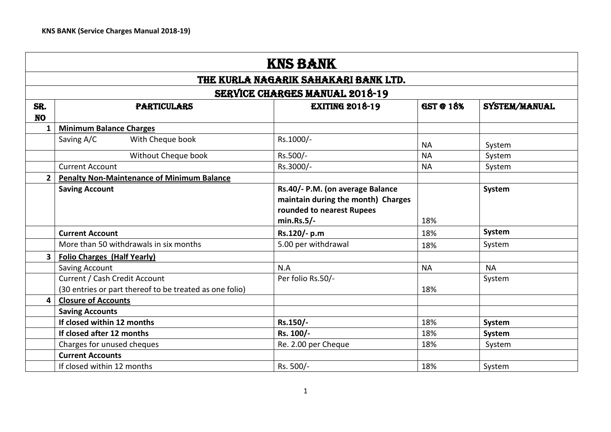|                  | <b>KNS BANK</b>                                                                                 |                                                                                                                      |           |           |  |  |
|------------------|-------------------------------------------------------------------------------------------------|----------------------------------------------------------------------------------------------------------------------|-----------|-----------|--|--|
|                  |                                                                                                 | THE KURLA NAGARIK SAHAKARI BANK LTD.                                                                                 |           |           |  |  |
|                  |                                                                                                 | <b>SERVICE CHARGES MANUAL 2018-19</b>                                                                                |           |           |  |  |
| SR.<br><b>NO</b> | <b>EXITING 2018-19</b><br>SYSTEM/MANUAL<br><b>GST @ 18%</b><br><b>PARTICULARS</b>               |                                                                                                                      |           |           |  |  |
| $\mathbf{1}$     | <b>Minimum Balance Charges</b>                                                                  |                                                                                                                      |           |           |  |  |
|                  | With Cheque book<br>Saving A/C                                                                  | Rs.1000/-                                                                                                            | <b>NA</b> | System    |  |  |
|                  | Without Cheque book                                                                             | Rs.500/-                                                                                                             | <b>NA</b> | System    |  |  |
|                  | <b>Current Account</b>                                                                          | Rs.3000/-                                                                                                            | <b>NA</b> | System    |  |  |
| $\mathbf{2}$     | <b>Penalty Non-Maintenance of Minimum Balance</b>                                               |                                                                                                                      |           |           |  |  |
|                  | <b>Saving Account</b>                                                                           | Rs.40/- P.M. (on average Balance<br>maintain during the month) Charges<br>rounded to nearest Rupees<br>$min.Rs.5/$ - | 18%       | System    |  |  |
|                  | <b>Current Account</b>                                                                          | Rs.120/- p.m                                                                                                         | 18%       | System    |  |  |
|                  | More than 50 withdrawals in six months                                                          | 5.00 per withdrawal                                                                                                  | 18%       | System    |  |  |
| $\mathbf{3}$     | <b>Folio Charges (Half Yearly)</b>                                                              |                                                                                                                      |           |           |  |  |
|                  | Saving Account                                                                                  | N.A                                                                                                                  | <b>NA</b> | <b>NA</b> |  |  |
|                  | <b>Current / Cash Credit Account</b><br>(30 entries or part thereof to be treated as one folio) | Per folio Rs.50/-                                                                                                    | 18%       | System    |  |  |
| 4                | <b>Closure of Accounts</b>                                                                      |                                                                                                                      |           |           |  |  |
|                  | <b>Saving Accounts</b>                                                                          |                                                                                                                      |           |           |  |  |
|                  | If closed within 12 months                                                                      | Rs.150/-                                                                                                             | 18%       | System    |  |  |
|                  | If closed after 12 months                                                                       | Rs. 100/-                                                                                                            | 18%       | System    |  |  |
|                  | Charges for unused cheques                                                                      | Re. 2.00 per Cheque                                                                                                  | 18%       | System    |  |  |
|                  | <b>Current Accounts</b>                                                                         |                                                                                                                      |           |           |  |  |
|                  | If closed within 12 months                                                                      | Rs. 500/-                                                                                                            | 18%       | System    |  |  |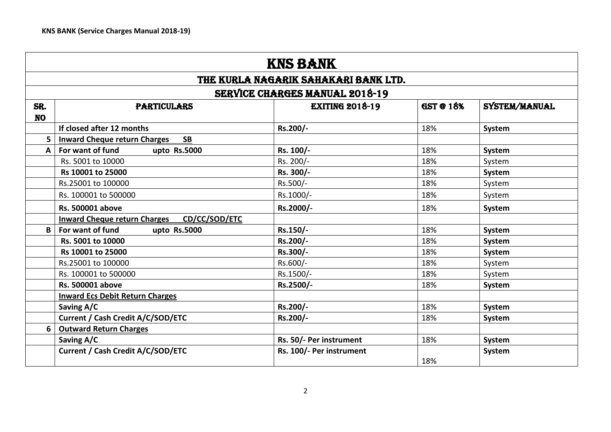|                  | <b>KNS BANK</b>                                                                   |                                       |     |               |  |  |  |
|------------------|-----------------------------------------------------------------------------------|---------------------------------------|-----|---------------|--|--|--|
|                  |                                                                                   | THE KURLA NAGARIK SAHAKARI BANK LTD.  |     |               |  |  |  |
|                  |                                                                                   | <b>SERVICE CHARGES MANUAL 2018-19</b> |     |               |  |  |  |
| SR.<br><b>NO</b> | <b>EXITING 2018-19</b><br><b>GST @ 18%</b><br>SYSTEM/MANUAL<br><b>PARTICULARS</b> |                                       |     |               |  |  |  |
|                  | If closed after 12 months                                                         | Rs.200/-                              | 18% | System        |  |  |  |
| 5                | <b>Inward Cheque return Charges</b><br><b>SB</b>                                  |                                       |     |               |  |  |  |
| A                | For want of fund<br>upto Rs.5000                                                  | Rs. 100/-                             | 18% | System        |  |  |  |
|                  | Rs. 5001 to 10000                                                                 | Rs. 200/-                             | 18% | System        |  |  |  |
|                  | Rs 10001 to 25000                                                                 | Rs. 300/-                             | 18% | System        |  |  |  |
|                  | Rs.25001 to 100000                                                                | Rs.500/-                              | 18% | System        |  |  |  |
|                  | Rs. 100001 to 500000                                                              | Rs.1000/-                             | 18% | System        |  |  |  |
|                  | <b>Rs. 500001 above</b>                                                           | Rs.2000/-                             | 18% | <b>System</b> |  |  |  |
|                  | CD/CC/SOD/ETC<br><b>Inward Cheque return Charges</b>                              |                                       |     |               |  |  |  |
| В                | For want of fund<br>upto Rs.5000                                                  | Rs.150/-                              | 18% | System        |  |  |  |
|                  | Rs. 5001 to 10000                                                                 | Rs.200/-                              | 18% | System        |  |  |  |
|                  | Rs 10001 to 25000                                                                 | Rs.300/-                              | 18% | System        |  |  |  |
|                  | Rs.25001 to 100000                                                                | Rs.600/-                              | 18% | System        |  |  |  |
|                  | Rs. 100001 to 500000                                                              | Rs.1500/-                             | 18% | System        |  |  |  |
|                  | <b>Rs. 500001 above</b>                                                           | Rs.2500/-                             | 18% | System        |  |  |  |
|                  | <b>Inward Ecs Debit Return Charges</b>                                            |                                       |     |               |  |  |  |
|                  | Saving A/C                                                                        | Rs.200/-                              | 18% | System        |  |  |  |
|                  | Current / Cash Credit A/C/SOD/ETC                                                 | Rs.200/-                              | 18% | System        |  |  |  |
| 6                | <b>Outward Return Charges</b>                                                     |                                       |     |               |  |  |  |
|                  | Saving A/C                                                                        | Rs. 50/- Per instrument               | 18% | System        |  |  |  |
|                  | Current / Cash Credit A/C/SOD/ETC                                                 | Rs. 100/- Per instrument              | 18% | <b>System</b> |  |  |  |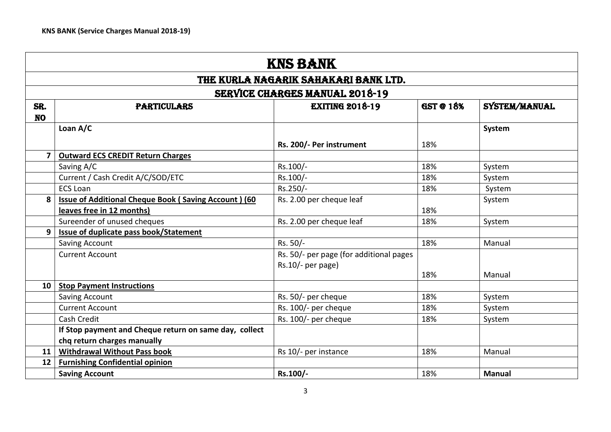|                         | <b>KNS BANK</b><br>THE KURLA NAGARIK SAHAKARI BANK LTD.                           |                                         |     |               |  |  |
|-------------------------|-----------------------------------------------------------------------------------|-----------------------------------------|-----|---------------|--|--|
|                         |                                                                                   |                                         |     |               |  |  |
|                         |                                                                                   | <b>SERVICE CHARGES MANUAL 2018-19</b>   |     |               |  |  |
| SR.                     | <b>EXITING 2018-19</b><br><b>GST @ 18%</b><br>SYSTEM/MANUAL<br><b>PARTICULARS</b> |                                         |     |               |  |  |
| <b>NO</b>               |                                                                                   |                                         |     |               |  |  |
|                         | Loan A/C                                                                          |                                         |     | System        |  |  |
|                         |                                                                                   | Rs. 200/- Per instrument                | 18% |               |  |  |
| $\overline{\mathbf{z}}$ | <b>Outward ECS CREDIT Return Charges</b>                                          |                                         |     |               |  |  |
|                         | Saving A/C                                                                        | Rs.100/-                                | 18% | System        |  |  |
|                         | Current / Cash Credit A/C/SOD/ETC                                                 | Rs.100/-                                | 18% | System        |  |  |
|                         | <b>ECS Loan</b>                                                                   | Rs.250/-                                | 18% | System        |  |  |
| 8                       | Issue of Additional Cheque Book (Saving Account) (60                              | Rs. 2.00 per cheque leaf                |     | System        |  |  |
|                         | leaves free in 12 months)                                                         |                                         | 18% |               |  |  |
|                         | Sureender of unused cheques                                                       | Rs. 2.00 per cheque leaf                | 18% | System        |  |  |
| 9                       | Issue of duplicate pass book/Statement                                            |                                         |     |               |  |  |
|                         | Saving Account                                                                    | Rs. 50/-                                | 18% | Manual        |  |  |
|                         | <b>Current Account</b>                                                            | Rs. 50/- per page (for additional pages |     |               |  |  |
|                         |                                                                                   | $Rs.10/-$ per page)                     |     |               |  |  |
|                         |                                                                                   |                                         | 18% | Manual        |  |  |
| 10                      | <b>Stop Payment Instructions</b>                                                  |                                         |     |               |  |  |
|                         | Saving Account                                                                    | Rs. 50/- per cheque                     | 18% | System        |  |  |
|                         | <b>Current Account</b>                                                            | Rs. 100/- per cheque                    | 18% | System        |  |  |
|                         | Cash Credit                                                                       | Rs. 100/- per cheque                    | 18% | System        |  |  |
|                         | If Stop payment and Cheque return on same day, collect                            |                                         |     |               |  |  |
|                         | chq return charges manually                                                       |                                         |     |               |  |  |
| 11                      | <b>Withdrawal Without Pass book</b>                                               | Rs 10/- per instance                    | 18% | Manual        |  |  |
| 12                      | <b>Furnishing Confidential opinion</b>                                            |                                         |     |               |  |  |
|                         | <b>Saving Account</b>                                                             | Rs.100/-                                | 18% | <b>Manual</b> |  |  |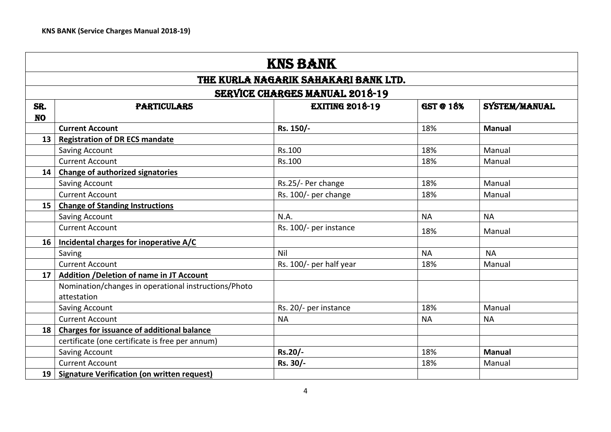|                  | <b>KNS BANK</b>                                                                   |                                       |           |               |  |  |  |
|------------------|-----------------------------------------------------------------------------------|---------------------------------------|-----------|---------------|--|--|--|
|                  |                                                                                   | THE KURLA NAGARIK SAHAKARI BANK LTD.  |           |               |  |  |  |
|                  |                                                                                   | <b>SERVICE CHARGES MANUAL 2018-19</b> |           |               |  |  |  |
| SR.<br><b>NO</b> | <b>GST @ 18%</b><br><b>EXITING 2018-19</b><br>SYSTEM/MANUAL<br><b>PARTICULARS</b> |                                       |           |               |  |  |  |
|                  | <b>Current Account</b>                                                            | Rs. 150/-                             | 18%       | <b>Manual</b> |  |  |  |
| 13               | <b>Registration of DR ECS mandate</b>                                             |                                       |           |               |  |  |  |
|                  | Saving Account                                                                    | Rs.100                                | 18%       | Manual        |  |  |  |
|                  | <b>Current Account</b>                                                            | Rs.100                                | 18%       | Manual        |  |  |  |
| 14               | <b>Change of authorized signatories</b>                                           |                                       |           |               |  |  |  |
|                  | Saving Account                                                                    | Rs.25/- Per change                    | 18%       | Manual        |  |  |  |
|                  | <b>Current Account</b>                                                            | Rs. 100/- per change                  | 18%       | Manual        |  |  |  |
| 15               | <b>Change of Standing Instructions</b>                                            |                                       |           |               |  |  |  |
|                  | Saving Account                                                                    | N.A.                                  | <b>NA</b> | <b>NA</b>     |  |  |  |
|                  | <b>Current Account</b>                                                            | Rs. 100/- per instance                | 18%       | Manual        |  |  |  |
| 16               | Incidental charges for inoperative A/C                                            |                                       |           |               |  |  |  |
|                  | Saving                                                                            | Nil                                   | <b>NA</b> | <b>NA</b>     |  |  |  |
|                  | <b>Current Account</b>                                                            | Rs. 100/- per half year               | 18%       | Manual        |  |  |  |
| 17               | Addition / Deletion of name in JT Account                                         |                                       |           |               |  |  |  |
|                  | Nomination/changes in operational instructions/Photo<br>attestation               |                                       |           |               |  |  |  |
|                  | Saving Account                                                                    | Rs. 20/- per instance                 | 18%       | Manual        |  |  |  |
|                  | <b>Current Account</b>                                                            | <b>NA</b>                             | <b>NA</b> | <b>NA</b>     |  |  |  |
| 18               | <b>Charges for issuance of additional balance</b>                                 |                                       |           |               |  |  |  |
|                  | certificate (one certificate is free per annum)                                   |                                       |           |               |  |  |  |
|                  | <b>Saving Account</b>                                                             | Rs.20/-                               | 18%       | <b>Manual</b> |  |  |  |
|                  | <b>Current Account</b>                                                            | Rs. 30/-                              | 18%       | Manual        |  |  |  |
| 19               | <b>Signature Verification (on written request)</b>                                |                                       |           |               |  |  |  |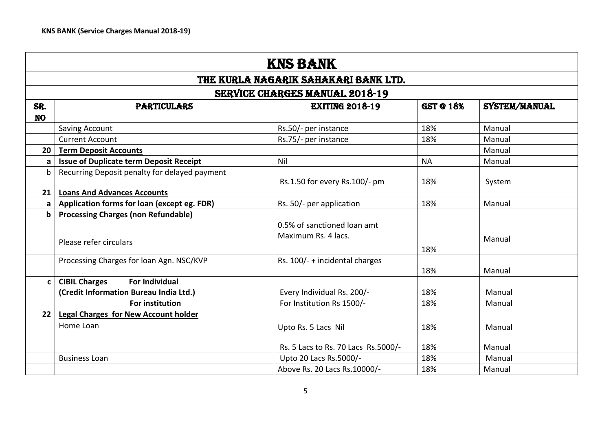|                  | <b>KNS BANK</b>                                                                         |                                                    |                  |               |  |
|------------------|-----------------------------------------------------------------------------------------|----------------------------------------------------|------------------|---------------|--|
|                  | THE KURLA NAGARIK SAHAKARI BANK LTD.                                                    |                                                    |                  |               |  |
|                  |                                                                                         | <b>SERVICE CHARGES MANUAL 2018-19</b>              |                  |               |  |
| SR.<br><b>NO</b> | <b>PARTICULARS</b>                                                                      | <b>EXITING 2018-19</b>                             | <b>GST @ 18%</b> | SYSTEM/MANUAL |  |
|                  | Saving Account                                                                          | Rs.50/- per instance                               | 18%              | Manual        |  |
|                  | <b>Current Account</b>                                                                  | Rs.75/- per instance                               | 18%              | Manual        |  |
| 20               | <b>Term Deposit Accounts</b>                                                            |                                                    |                  | Manual        |  |
| a                | <b>Issue of Duplicate term Deposit Receipt</b>                                          | Nil                                                | <b>NA</b>        | Manual        |  |
| b                | Recurring Deposit penalty for delayed payment                                           | Rs.1.50 for every Rs.100/- pm                      | 18%              | System        |  |
| 21               | <b>Loans And Advances Accounts</b>                                                      |                                                    |                  |               |  |
| a                | Application forms for loan (except eg. FDR)                                             | Rs. 50/- per application                           | 18%              | Manual        |  |
| b                | <b>Processing Charges (non Refundable)</b><br>Please refer circulars                    | 0.5% of sanctioned loan amt<br>Maximum Rs. 4 lacs. |                  | Manual        |  |
|                  | Processing Charges for loan Agn. NSC/KVP                                                | Rs. 100/- + incidental charges                     | 18%<br>18%       | Manual        |  |
| C                | <b>CIBIL Charges</b><br><b>For Individual</b><br>(Credit Information Bureau India Ltd.) | Every Individual Rs. 200/-                         | 18%              | Manual        |  |
|                  | <b>For institution</b>                                                                  | For Institution Rs 1500/-                          | 18%              | Manual        |  |
| 22               | <b>Legal Charges for New Account holder</b>                                             |                                                    |                  |               |  |
|                  | Home Loan                                                                               | Upto Rs. 5 Lacs Nil                                | 18%              | Manual        |  |
|                  |                                                                                         | Rs. 5 Lacs to Rs. 70 Lacs Rs. 5000/-               | 18%              | Manual        |  |
|                  | <b>Business Loan</b>                                                                    | Upto 20 Lacs Rs.5000/-                             | 18%              | Manual        |  |
|                  |                                                                                         | Above Rs. 20 Lacs Rs. 10000/-                      | 18%              | Manual        |  |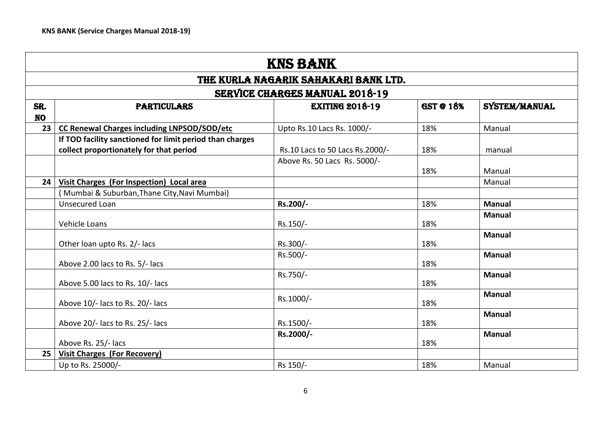|                  | <b>KNS BANK</b>                                                                                     |                                                                 |                  |               |
|------------------|-----------------------------------------------------------------------------------------------------|-----------------------------------------------------------------|------------------|---------------|
|                  |                                                                                                     | THE KURLA NAGARIK SAHAKARI BANK LTD.                            |                  |               |
|                  |                                                                                                     | <b>SERVICE CHARGES MANUAL 2018-19</b>                           |                  |               |
| SR.<br><b>NO</b> | <b>PARTICULARS</b>                                                                                  | <b>EXITING 2018-19</b>                                          | <b>GST @ 18%</b> | SYSTEM/MANUAL |
| 23               | <b>CC Renewal Charges including LNPSOD/SOD/etc</b>                                                  | Upto Rs.10 Lacs Rs. 1000/-                                      | 18%              | Manual        |
|                  | If TOD facility sanctioned for limit period than charges<br>collect proportionately for that period | Rs.10 Lacs to 50 Lacs Rs.2000/-<br>Above Rs. 50 Lacs Rs. 5000/- | 18%              | manual        |
|                  |                                                                                                     |                                                                 | 18%              | Manual        |
| 24               | Visit Charges (For Inspection) Local area                                                           |                                                                 |                  | Manual        |
|                  | (Mumbai & Suburban, Thane City, Navi Mumbai)                                                        |                                                                 |                  |               |
|                  | Unsecured Loan                                                                                      | Rs.200/-                                                        | 18%              | <b>Manual</b> |
|                  | <b>Vehicle Loans</b>                                                                                | Rs.150/-                                                        | 18%              | <b>Manual</b> |
|                  | Other loan upto Rs. 2/- lacs                                                                        | Rs.300/-                                                        | 18%              | <b>Manual</b> |
|                  | Above 2.00 lacs to Rs. 5/- lacs                                                                     | Rs.500/-                                                        | 18%              | <b>Manual</b> |
|                  | Above 5.00 lacs to Rs. 10/- lacs                                                                    | Rs.750/-                                                        | 18%              | <b>Manual</b> |
|                  | Above 10/- lacs to Rs. 20/- lacs                                                                    | Rs.1000/-                                                       | 18%              | <b>Manual</b> |
|                  | Above 20/- lacs to Rs. 25/- lacs                                                                    | Rs.1500/-                                                       | 18%              | <b>Manual</b> |
|                  | Above Rs. 25/- lacs                                                                                 | Rs.2000/-                                                       | 18%              | <b>Manual</b> |
| 25               | <b>Visit Charges (For Recovery)</b>                                                                 |                                                                 |                  |               |
|                  | Up to Rs. 25000/-                                                                                   | Rs 150/-                                                        | 18%              | Manual        |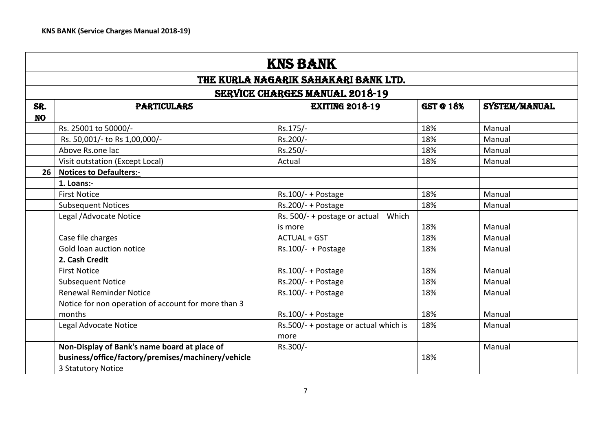|                  | <b>KNS BANK</b>                                     |                                                |                  |               |
|------------------|-----------------------------------------------------|------------------------------------------------|------------------|---------------|
|                  |                                                     | THE KURLA NAGARIK SAHAKARI BANK LTD.           |                  |               |
|                  |                                                     | <b>SERVICE CHARGES MANUAL 2018-19</b>          |                  |               |
| SR.<br><b>NO</b> | <b>PARTICULARS</b>                                  | <b>EXITING 2018-19</b>                         | <b>GST @ 18%</b> | SYSTEM/MANUAL |
|                  | Rs. 25001 to 50000/-                                | Rs.175/-                                       | 18%              | Manual        |
|                  | Rs. 50,001/- to Rs 1,00,000/-                       | Rs.200/-                                       | 18%              | Manual        |
|                  | Above Rs.one lac                                    | Rs.250/-                                       | 18%              | Manual        |
|                  | Visit outstation (Except Local)                     | Actual                                         | 18%              | Manual        |
| 26               | <b>Notices to Defaulters:-</b>                      |                                                |                  |               |
|                  | 1. Loans:-                                          |                                                |                  |               |
|                  | <b>First Notice</b>                                 | $Rs.100/- + Postage$                           | 18%              | Manual        |
|                  | <b>Subsequent Notices</b>                           | $Rs.200/- + Postage$                           | 18%              | Manual        |
|                  | Legal / Advocate Notice                             | Rs. 500/- + postage or actual Which<br>is more | 18%              | Manual        |
|                  | Case file charges                                   | <b>ACTUAL + GST</b>                            | 18%              | Manual        |
|                  | Gold loan auction notice                            | Rs.100/- + Postage                             | 18%              | Manual        |
|                  | 2. Cash Credit                                      |                                                |                  |               |
|                  | <b>First Notice</b>                                 | $Rs.100/- + Postage$                           | 18%              | Manual        |
|                  | <b>Subsequent Notice</b>                            | $Rs.200/- + Postage$                           | 18%              | Manual        |
|                  | <b>Renewal Reminder Notice</b>                      | $Rs.100/- + Postage$                           | 18%              | Manual        |
|                  | Notice for non operation of account for more than 3 |                                                |                  |               |
|                  | months                                              | $Rs.100/- + Postage$                           | 18%              | Manual        |
|                  | Legal Advocate Notice                               | Rs.500/- + postage or actual which is<br>more  | 18%              | Manual        |
|                  | Non-Display of Bank's name board at place of        | Rs.300/-                                       |                  | Manual        |
|                  | business/office/factory/premises/machinery/vehicle  |                                                | 18%              |               |
|                  | 3 Statutory Notice                                  |                                                |                  |               |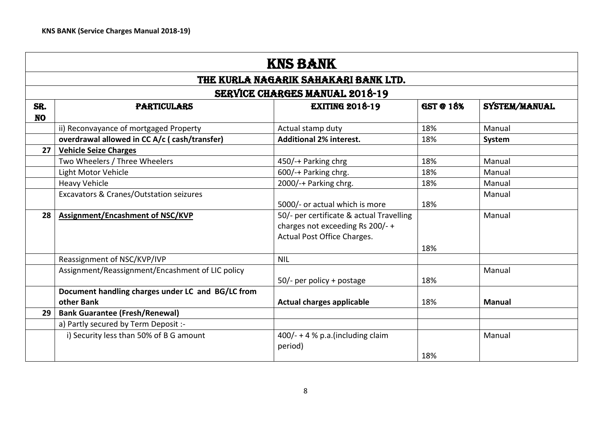|                  | <b>KNS BANK</b>                                                            |                                                                                                            |     |               |  |  |  |
|------------------|----------------------------------------------------------------------------|------------------------------------------------------------------------------------------------------------|-----|---------------|--|--|--|
|                  |                                                                            | THE KURLA NAGARIK SAHAKARI BANK LTD.                                                                       |     |               |  |  |  |
|                  |                                                                            | <b>SERVICE CHARGES MANUAL 2018-19</b>                                                                      |     |               |  |  |  |
| SR.<br><b>NO</b> | GST @ 18%<br>SYSTEM/MANUAL<br><b>EXITING 2018-19</b><br><b>PARTICULARS</b> |                                                                                                            |     |               |  |  |  |
|                  | ii) Reconvayance of mortgaged Property                                     | Actual stamp duty                                                                                          | 18% | Manual        |  |  |  |
|                  | overdrawal allowed in CC A/c (cash/transfer)                               | <b>Additional 2% interest.</b>                                                                             | 18% | System        |  |  |  |
| 27               | <b>Vehicle Seize Charges</b>                                               |                                                                                                            |     |               |  |  |  |
|                  | Two Wheelers / Three Wheelers                                              | 450/-+ Parking chrg                                                                                        | 18% | Manual        |  |  |  |
|                  | Light Motor Vehicle                                                        | 600/-+ Parking chrg.                                                                                       | 18% | Manual        |  |  |  |
|                  | <b>Heavy Vehicle</b>                                                       | 2000/-+ Parking chrg.                                                                                      | 18% | Manual        |  |  |  |
|                  | Excavators & Cranes/Outstation seizures                                    | 5000/- or actual which is more                                                                             | 18% | Manual        |  |  |  |
| 28               | Assignment/Encashment of NSC/KVP                                           | 50/- per certificate & actual Travelling<br>charges not exceeding Rs 200/-+<br>Actual Post Office Charges. | 18% | Manual        |  |  |  |
|                  | Reassignment of NSC/KVP/IVP                                                | <b>NIL</b>                                                                                                 |     |               |  |  |  |
|                  | Assignment/Reassignment/Encashment of LIC policy                           | $50/-$ per policy + postage                                                                                | 18% | Manual        |  |  |  |
|                  | Document handling charges under LC and BG/LC from<br>other Bank            | <b>Actual charges applicable</b>                                                                           | 18% | <b>Manual</b> |  |  |  |
| 29               | <b>Bank Guarantee (Fresh/Renewal)</b>                                      |                                                                                                            |     |               |  |  |  |
|                  | a) Partly secured by Term Deposit :-                                       |                                                                                                            |     |               |  |  |  |
|                  | i) Security less than 50% of B G amount                                    | $400/- + 4 % p.a.(including claim)$<br>period)                                                             | 18% | Manual        |  |  |  |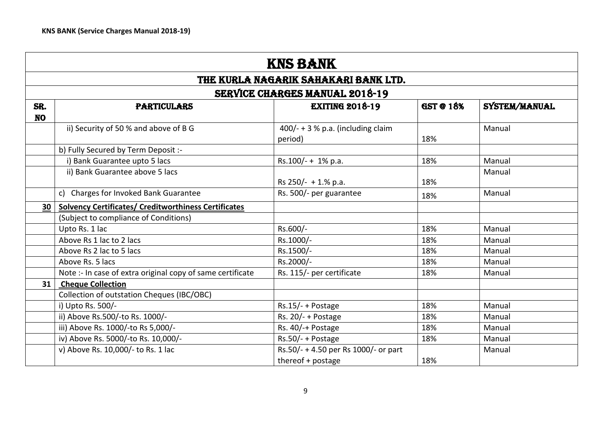|           | <b>KNS BANK</b>                                             |                                                 |                  |               |
|-----------|-------------------------------------------------------------|-------------------------------------------------|------------------|---------------|
|           |                                                             | THE KURLA NAGARIK SAHAKARI BANK LTD.            |                  |               |
|           |                                                             | <b>SERVICE CHARGES MANUAL 2018-19</b>           |                  |               |
| SR.       | <b>PARTICULARS</b>                                          | <b>EXITING 2018-19</b>                          | <b>GST @ 18%</b> | SYSTEM/MANUAL |
| <b>NO</b> |                                                             |                                                 |                  |               |
|           | ii) Security of 50 % and above of B G                       | $400/ - + 3$ % p.a. (including claim<br>period) | 18%              | Manual        |
|           | b) Fully Secured by Term Deposit :-                         |                                                 |                  |               |
|           | i) Bank Guarantee upto 5 lacs                               | Rs.100/- + 1% p.a.                              | 18%              | Manual        |
|           | ii) Bank Guarantee above 5 lacs                             | Rs $250/- + 1.%$ p.a.                           | 18%              | Manual        |
|           | c) Charges for Invoked Bank Guarantee                       | Rs. 500/- per guarantee                         | 18%              | Manual        |
| 30        | <b>Solvency Certificates/ Creditworthiness Certificates</b> |                                                 |                  |               |
|           | (Subject to compliance of Conditions)                       |                                                 |                  |               |
|           | Upto Rs. 1 lac                                              | Rs.600/-                                        | 18%              | Manual        |
|           | Above Rs 1 lac to 2 lacs                                    | Rs.1000/-                                       | 18%              | Manual        |
|           | Above Rs 2 lac to 5 lacs                                    | Rs.1500/-                                       | 18%              | Manual        |
|           | Above Rs. 5 lacs                                            | Rs.2000/-                                       | 18%              | Manual        |
|           | Note :- In case of extra original copy of same certificate  | Rs. 115/- per certificate                       | 18%              | Manual        |
| 31        | <b>Cheque Collection</b>                                    |                                                 |                  |               |
|           | Collection of outstation Cheques (IBC/OBC)                  |                                                 |                  |               |
|           | i) Upto Rs. 500/-                                           | $Rs.15/- + Postage$                             | 18%              | Manual        |
|           | ii) Above Rs.500/-to Rs. 1000/-                             | Rs. $20/- +$ Postage                            | 18%              | Manual        |
|           | iii) Above Rs. 1000/-to Rs 5,000/-                          | Rs. 40/-+ Postage                               | 18%              | Manual        |
|           | iv) Above Rs. 5000/-to Rs. 10,000/-                         | $Rs.50/- + Postage$                             | 18%              | Manual        |
|           | v) Above Rs. 10,000/- to Rs. 1 lac                          | Rs.50/- + 4.50 per Rs 1000/- or part            |                  | Manual        |
|           |                                                             | thereof + postage                               | 18%              |               |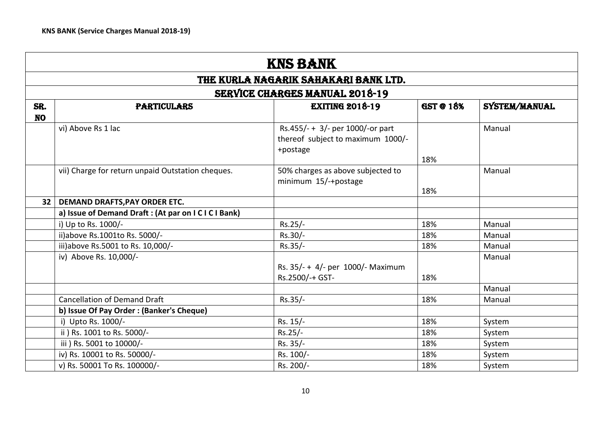|                  | <b>KNS BANK</b>                                                                   |                                                                                   |     |        |  |  |  |
|------------------|-----------------------------------------------------------------------------------|-----------------------------------------------------------------------------------|-----|--------|--|--|--|
|                  |                                                                                   | THE KURLA NAGARIK SAHAKARI BANK LTD.                                              |     |        |  |  |  |
|                  |                                                                                   | <b>SERVICE CHARGES MANUAL 2018-19</b>                                             |     |        |  |  |  |
| SR.<br><b>NO</b> | <b>GST @ 18%</b><br><b>EXITING 2018-19</b><br>SYSTEM/MANUAL<br><b>PARTICULARS</b> |                                                                                   |     |        |  |  |  |
|                  | vi) Above Rs 1 lac                                                                | Rs.455/- + 3/- per 1000/-or part<br>thereof subject to maximum 1000/-<br>+postage | 18% | Manual |  |  |  |
|                  | vii) Charge for return unpaid Outstation cheques.                                 | 50% charges as above subjected to<br>minimum 15/-+postage                         | 18% | Manual |  |  |  |
| 32 <sub>2</sub>  | DEMAND DRAFTS, PAY ORDER ETC.                                                     |                                                                                   |     |        |  |  |  |
|                  | a) Issue of Demand Draft: (At par on I C I C I Bank)                              |                                                                                   |     |        |  |  |  |
|                  | i) Up to Rs. 1000/-                                                               | $Rs.25/-$                                                                         | 18% | Manual |  |  |  |
|                  | ii)above Rs.1001to Rs. 5000/-                                                     | Rs.30/-                                                                           | 18% | Manual |  |  |  |
|                  | iii)above Rs.5001 to Rs. 10,000/-                                                 | $Rs.35/-$                                                                         | 18% | Manual |  |  |  |
|                  | iv) Above Rs. 10,000/-                                                            | Rs. 35/- + 4/- per 1000/- Maximum<br>Rs.2500/-+ GST-                              | 18% | Manual |  |  |  |
|                  |                                                                                   |                                                                                   |     | Manual |  |  |  |
|                  | <b>Cancellation of Demand Draft</b>                                               | $Rs.35/-$                                                                         | 18% | Manual |  |  |  |
|                  | b) Issue Of Pay Order: (Banker's Cheque)                                          |                                                                                   |     |        |  |  |  |
|                  | i) Upto Rs. 1000/-                                                                | Rs. 15/-                                                                          | 18% | System |  |  |  |
|                  | ii ) Rs. 1001 to Rs. 5000/-                                                       | $Rs.25/-$                                                                         | 18% | System |  |  |  |
|                  | iii ) Rs. 5001 to 10000/-                                                         | Rs. 35/-                                                                          | 18% | System |  |  |  |
|                  | iv) Rs. 10001 to Rs. 50000/-                                                      | Rs. 100/-                                                                         | 18% | System |  |  |  |
|                  | v) Rs. 50001 To Rs. 100000/-                                                      | Rs. 200/-                                                                         | 18% | System |  |  |  |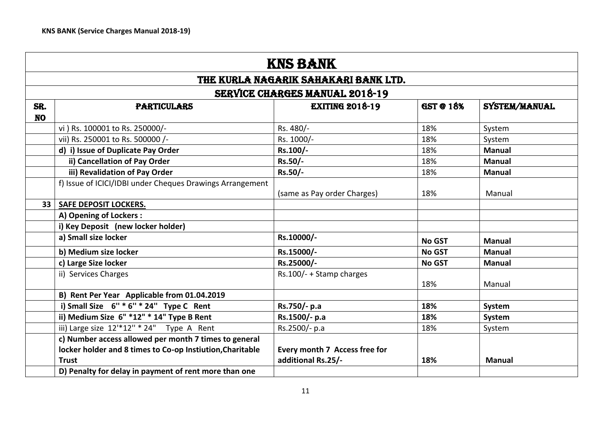|                  | <b>KNS BANK</b>                                                                                                                    |                                                     |                  |               |
|------------------|------------------------------------------------------------------------------------------------------------------------------------|-----------------------------------------------------|------------------|---------------|
|                  |                                                                                                                                    | THE KURLA NAGARIK SAHAKARI BANK LTD.                |                  |               |
|                  |                                                                                                                                    | <b>SERVICE CHARGES MANUAL 2018-19</b>               |                  |               |
| SR.<br><b>NO</b> | <b>PARTICULARS</b>                                                                                                                 | <b>EXITING 2018-19</b>                              | <b>GST @ 18%</b> | SYSTEM/MANUAL |
|                  | vi ) Rs. 100001 to Rs. 250000/-                                                                                                    | Rs. 480/-                                           | 18%              | System        |
|                  | vii) Rs. 250001 to Rs. 500000 /-                                                                                                   | Rs. 1000/-                                          | 18%              | System        |
|                  | d) i) Issue of Duplicate Pay Order                                                                                                 | Rs.100/-                                            | 18%              | <b>Manual</b> |
|                  | ii) Cancellation of Pay Order                                                                                                      | Rs.50/-                                             | 18%              | <b>Manual</b> |
|                  | iii) Revalidation of Pay Order                                                                                                     | Rs.50/-                                             | 18%              | <b>Manual</b> |
|                  | f) Issue of ICICI/IDBI under Cheques Drawings Arrangement                                                                          | (same as Pay order Charges)                         | 18%              | Manual        |
| 33               | <b>SAFE DEPOSIT LOCKERS.</b>                                                                                                       |                                                     |                  |               |
|                  | A) Opening of Lockers:                                                                                                             |                                                     |                  |               |
|                  | i) Key Deposit (new locker holder)                                                                                                 |                                                     |                  |               |
|                  | a) Small size locker                                                                                                               | Rs.10000/-                                          | <b>No GST</b>    | <b>Manual</b> |
|                  | b) Medium size locker                                                                                                              | Rs.15000/-                                          | <b>No GST</b>    | <b>Manual</b> |
|                  | c) Large Size locker                                                                                                               | Rs.25000/-                                          | <b>No GST</b>    | <b>Manual</b> |
|                  | ii) Services Charges                                                                                                               | Rs.100/- + Stamp charges                            | 18%              | Manual        |
|                  | B) Rent Per Year Applicable from 01.04.2019                                                                                        |                                                     |                  |               |
|                  | i) Small Size $6'' * 6'' * 24''$ Type C Rent                                                                                       | Rs.750/- p.a                                        | 18%              | System        |
|                  | ii) Medium Size 6" *12" * 14" Type B Rent                                                                                          | Rs.1500/- p.a                                       | 18%              | System        |
|                  | iii) Large size 12'*12" * 24" Type A Rent                                                                                          | Rs.2500/- p.a                                       | 18%              | System        |
|                  | c) Number access allowed per month 7 times to general<br>locker holder and 8 times to Co-op Instiution, Charitable<br><b>Trust</b> | Every month 7 Access free for<br>additional Rs.25/- | 18%              | <b>Manual</b> |
|                  | D) Penalty for delay in payment of rent more than one                                                                              |                                                     |                  |               |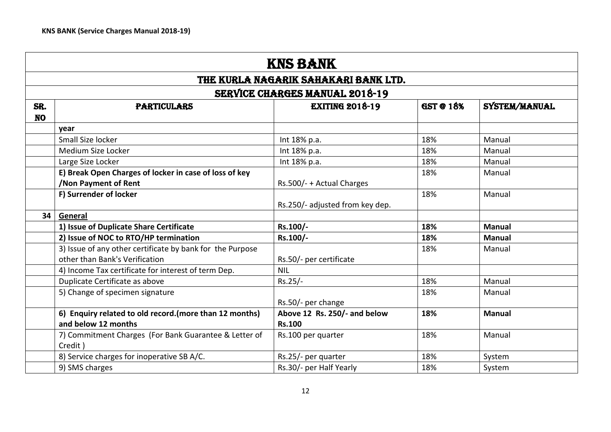|                                                                                                       | <b>KNS BANK</b>                                                                             |                                               |     |               |  |
|-------------------------------------------------------------------------------------------------------|---------------------------------------------------------------------------------------------|-----------------------------------------------|-----|---------------|--|
|                                                                                                       |                                                                                             | THE KURLA NAGARIK SAHAKARI BANK LTD.          |     |               |  |
|                                                                                                       |                                                                                             | <b>SERVICE CHARGES MANUAL 2018-19</b>         |     |               |  |
| <b>EXITING 2018-19</b><br><b>GST @ 18%</b><br>SYSTEM/MANUAL<br>SR.<br><b>PARTICULARS</b><br><b>NO</b> |                                                                                             |                                               |     |               |  |
|                                                                                                       | year                                                                                        |                                               |     |               |  |
|                                                                                                       | Small Size locker                                                                           | Int 18% p.a.                                  | 18% | Manual        |  |
|                                                                                                       | Medium Size Locker                                                                          | Int 18% p.a.                                  | 18% | Manual        |  |
|                                                                                                       | Large Size Locker                                                                           | Int 18% p.a.                                  | 18% | Manual        |  |
|                                                                                                       | E) Break Open Charges of locker in case of loss of key<br><b>/Non Payment of Rent</b>       | Rs.500/- + Actual Charges                     | 18% | Manual        |  |
|                                                                                                       | F) Surrender of locker                                                                      | Rs.250/- adjusted from key dep.               | 18% | Manual        |  |
| 34                                                                                                    | General                                                                                     |                                               |     |               |  |
|                                                                                                       | 1) Issue of Duplicate Share Certificate                                                     | Rs.100/-                                      | 18% | <b>Manual</b> |  |
|                                                                                                       | 2) Issue of NOC to RTO/HP termination                                                       | Rs.100/-                                      | 18% | <b>Manual</b> |  |
|                                                                                                       | 3) Issue of any other certificate by bank for the Purpose<br>other than Bank's Verification | Rs.50/- per certificate                       | 18% | Manual        |  |
|                                                                                                       | 4) Income Tax certificate for interest of term Dep.                                         | <b>NIL</b>                                    |     |               |  |
|                                                                                                       | Duplicate Certificate as above                                                              | $Rs.25/-$                                     | 18% | Manual        |  |
|                                                                                                       | 5) Change of specimen signature                                                             | Rs.50/- per change                            | 18% | Manual        |  |
|                                                                                                       | 6) Enquiry related to old record. (more than 12 months)<br>and below 12 months              | Above 12 Rs. 250/- and below<br><b>Rs.100</b> | 18% | <b>Manual</b> |  |
|                                                                                                       | 7) Commitment Charges (For Bank Guarantee & Letter of<br>Credit)                            | Rs.100 per quarter                            | 18% | Manual        |  |
|                                                                                                       | 8) Service charges for inoperative SB A/C.                                                  | Rs.25/- per quarter                           | 18% | System        |  |
|                                                                                                       | 9) SMS charges                                                                              | Rs.30/- per Half Yearly                       | 18% | System        |  |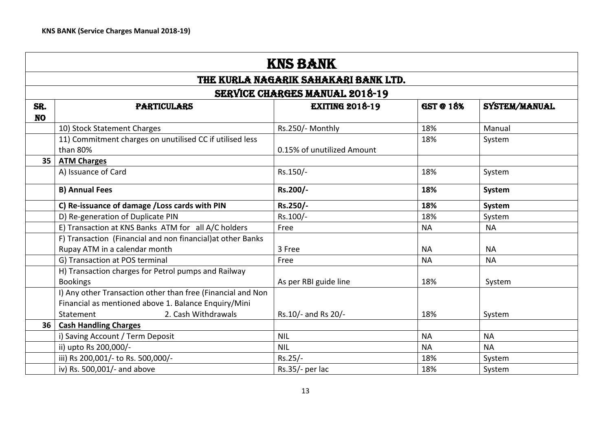| <b>KNS BANK</b><br>THE KURLA NAGARIK SAHAKARI BANK LTD.<br><b>SERVICE CHARGES MANUAL 2018-19</b> |                                                             |                            |           |           |  |  |  |           |                    |                        |                  |               |
|--------------------------------------------------------------------------------------------------|-------------------------------------------------------------|----------------------------|-----------|-----------|--|--|--|-----------|--------------------|------------------------|------------------|---------------|
|                                                                                                  |                                                             |                            |           |           |  |  |  | SR.       | <b>PARTICULARS</b> | <b>EXITING 2018-19</b> | <b>GST @ 18%</b> | SYSTEM/MANUAL |
|                                                                                                  |                                                             |                            |           |           |  |  |  | <b>NO</b> |                    |                        |                  |               |
|                                                                                                  | 10) Stock Statement Charges                                 | Rs.250/- Monthly           | 18%       | Manual    |  |  |  |           |                    |                        |                  |               |
|                                                                                                  | 11) Commitment charges on unutilised CC if utilised less    |                            | 18%       | System    |  |  |  |           |                    |                        |                  |               |
|                                                                                                  | than 80%                                                    | 0.15% of unutilized Amount |           |           |  |  |  |           |                    |                        |                  |               |
| 35                                                                                               | <b>ATM Charges</b>                                          |                            |           |           |  |  |  |           |                    |                        |                  |               |
|                                                                                                  | A) Issuance of Card                                         | Rs.150/-                   | 18%       | System    |  |  |  |           |                    |                        |                  |               |
|                                                                                                  | <b>B) Annual Fees</b>                                       | Rs.200/-                   | 18%       | System    |  |  |  |           |                    |                        |                  |               |
|                                                                                                  | C) Re-issuance of damage /Loss cards with PIN               | Rs.250/-                   | 18%       | System    |  |  |  |           |                    |                        |                  |               |
|                                                                                                  | D) Re-generation of Duplicate PIN                           | Rs.100/-                   | 18%       | System    |  |  |  |           |                    |                        |                  |               |
|                                                                                                  | E) Transaction at KNS Banks ATM for all A/C holders         | Free                       | <b>NA</b> | <b>NA</b> |  |  |  |           |                    |                        |                  |               |
|                                                                                                  | F) Transaction (Financial and non financial) at other Banks |                            |           |           |  |  |  |           |                    |                        |                  |               |
|                                                                                                  | Rupay ATM in a calendar month                               | 3 Free                     | <b>NA</b> | <b>NA</b> |  |  |  |           |                    |                        |                  |               |
|                                                                                                  | G) Transaction at POS terminal                              | Free                       | <b>NA</b> | <b>NA</b> |  |  |  |           |                    |                        |                  |               |
|                                                                                                  | H) Transaction charges for Petrol pumps and Railway         |                            |           |           |  |  |  |           |                    |                        |                  |               |
|                                                                                                  | <b>Bookings</b>                                             | As per RBI guide line      | 18%       | System    |  |  |  |           |                    |                        |                  |               |
|                                                                                                  | I) Any other Transaction other than free (Financial and Non |                            |           |           |  |  |  |           |                    |                        |                  |               |
|                                                                                                  | Financial as mentioned above 1. Balance Enquiry/Mini        |                            |           |           |  |  |  |           |                    |                        |                  |               |
|                                                                                                  | 2. Cash Withdrawals<br>Statement                            | Rs.10/- and Rs 20/-        | 18%       | System    |  |  |  |           |                    |                        |                  |               |
| 36                                                                                               | <b>Cash Handling Charges</b>                                |                            |           |           |  |  |  |           |                    |                        |                  |               |
|                                                                                                  | i) Saving Account / Term Deposit                            | <b>NIL</b>                 | <b>NA</b> | <b>NA</b> |  |  |  |           |                    |                        |                  |               |
|                                                                                                  | ii) upto Rs 200,000/-                                       | <b>NIL</b>                 | <b>NA</b> | <b>NA</b> |  |  |  |           |                    |                        |                  |               |
|                                                                                                  | iii) Rs 200,001/- to Rs. 500,000/-                          | $Rs.25/-$                  | 18%       | System    |  |  |  |           |                    |                        |                  |               |
|                                                                                                  | iv) Rs. 500,001/- and above                                 | Rs.35/- per lac            | 18%       | System    |  |  |  |           |                    |                        |                  |               |